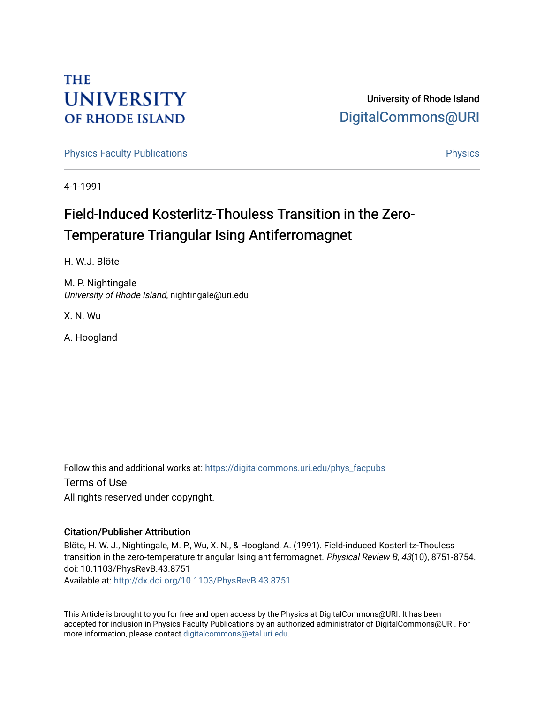## **THE UNIVERSITY OF RHODE ISLAND**

### University of Rhode Island [DigitalCommons@URI](https://digitalcommons.uri.edu/)

[Physics Faculty Publications](https://digitalcommons.uri.edu/phys_facpubs) **Physics** [Physics](https://digitalcommons.uri.edu/phys) Physics

4-1-1991

# Field-Induced Kosterlitz-Thouless Transition in the Zero-Temperature Triangular Ising Antiferromagnet

H. W.J. Blöte

M. P. Nightingale University of Rhode Island, nightingale@uri.edu

X. N. Wu

A. Hoogland

Follow this and additional works at: [https://digitalcommons.uri.edu/phys\\_facpubs](https://digitalcommons.uri.edu/phys_facpubs?utm_source=digitalcommons.uri.edu%2Fphys_facpubs%2F256&utm_medium=PDF&utm_campaign=PDFCoverPages)  Terms of Use All rights reserved under copyright.

#### Citation/Publisher Attribution

Blöte, H. W. J., Nightingale, M. P., Wu, X. N., & Hoogland, A. (1991). Field-induced Kosterlitz-Thouless transition in the zero-temperature triangular Ising antiferromagnet. Physical Review B, 43(10), 8751-8754. doi: 10.1103/PhysRevB.43.8751

Available at:<http://dx.doi.org/10.1103/PhysRevB.43.8751>

This Article is brought to you for free and open access by the Physics at DigitalCommons@URI. It has been accepted for inclusion in Physics Faculty Publications by an authorized administrator of DigitalCommons@URI. For more information, please contact [digitalcommons@etal.uri.edu.](mailto:digitalcommons@etal.uri.edu)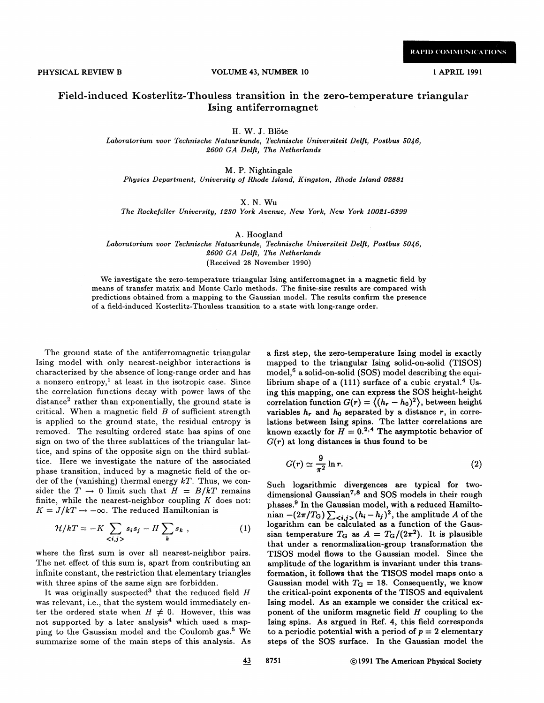#### Field-induced Kosterlitz-Thouless transition in the zero-temperature triangular Ising antiferromagnet

H. W. J. Blöte

Laboratorium voor Technische Natuurkunde, Technische Universiteit Delft, Postbus 5046, 2600 GA Delft, The Netherlands

M. P. Nightingale Physics Department, University of Rhode Island, Kingston, Rhode Island 02881

X. N. Wu

The Rockefeller University, i230 York Avenue, New York, New York 10081 6399-

A. Hoogland

Laboratorium voor Technische Natuurkunde, Technische Universiteit Delft, Postbus \$0/6, 8600 GA Delft, The Netherlands (Received 28 November 1990)

We investigate the zero-temperature triangular Ising antiferromagnet in a magnetic field by means of transfer matrix and Monte Carlo methods. The finite-size results are compared with predictions obtained from a mapping to the Gaussian model. The results confirm the presence of a field-induced Kosterlitz-Thouless transition to a state with long-range order.

The ground state of the antiferromagnetic triangular Ising model with only nearest-neighbor interactions is characterized by the absence of long-range order and has a nonzero entropy,<sup>1</sup> at least in the isotropic case. Since the correlation functions decay with power laws of the distance<sup>2</sup> rather than exponentially, the ground state is critical. When a magnetic field  $B$  of sufficient strength is applied to the ground state, the residual entropy is removed. The resulting ordered state has spins of one sign on two of the three sublattices of the triangular lattice, and spins of the opposite sign on the third sublattice. Here we investigate the nature of the associated phase transition, induced by a magnetic field of the order of the (vanishing) thermal energy  $kT$ . Thus, we consider the  $T \rightarrow 0$  limit such that  $H = B/kT$  remains finite, while the nearest-neighbor coupling  $K$  does not:  $K = J/kT \rightarrow -\infty$ . The reduced Hamiltonian is

$$
\mathcal{H}/kT = -K \sum_{\langle i,j \rangle} s_i s_j - H \sum_k s_k \,, \tag{1}
$$

where the first sum is over all nearest-neighbor pairs. The net effect of this sum is, apart from contributing an infinite constant, the restriction that elementary triangles with three spins of the same sign are forbidden.

It was originally suspected<sup>3</sup> that the reduced field  $H$ was relevant, i.e., that the system would immediately enter the ordered state when  $H \neq 0$ . However, this was not supported by a later analysis<sup>4</sup> which used a mapping to the Gaussian model and the Coulomb gas.<sup>5</sup> We summarize some of the main steps of this analysis. As a first step, the zero-temperature Ising model is exactly mapped to the triangular Ising solid-on-solid (TISOS) model, $6$  a solid-on-solid (SOS) model describing the equilibrium shape of a  $(111)$  surface of a cubic crystal.<sup>4</sup> Using this mapping, one can express the SOS height-height correlation function  $G(r) = \langle (h_r - h_0)^2 \rangle$ , between height variables  $h_r$  and  $h_0$  separated by a distance r, in correlations between Ising spins. The latter correlations are known exactly for  $H = 0^{2,4}$  The asymptotic behavior of  $G(r)$  at long distances is thus found to be

$$
G(r) \simeq \frac{9}{\pi^2} \ln r. \tag{2}
$$

Such logarithmic divergences are typical for twodimensional Gaussian<sup>7,8</sup> and SOS models in their rough phases.<sup>9</sup> In the Gaussian model, with a reduced Hamiltonian  $-(2\pi/T_G)\sum_{\langle i,j\rangle}(h_i-h_j)^2$ , the amplitude A of the logarithm can be calculated as a function of the Gaussian temperature  $T_G$  as  $A = T_G/(2\pi^2)$ . It is plausible that under a renormalization-group transformation the TISOS model flows to the Gaussian model. Since the amplitude of the logarithm is invariant under this transformation, it follows that the TISOS model maps onto a Gaussian model with  $T<sub>G</sub> = 18$ . Consequently, we know the critical-point exponents of the TISOS and equivalent Ising model. As an example we consider the critical exponent of the uniform magnetic field  $H$  coupling to the Ising spins. As argued in Ref. 4, this field corresponds to a periodic potential with a period of  $p = 2$  elementary steps of the SOS surface. In the Gaussian model the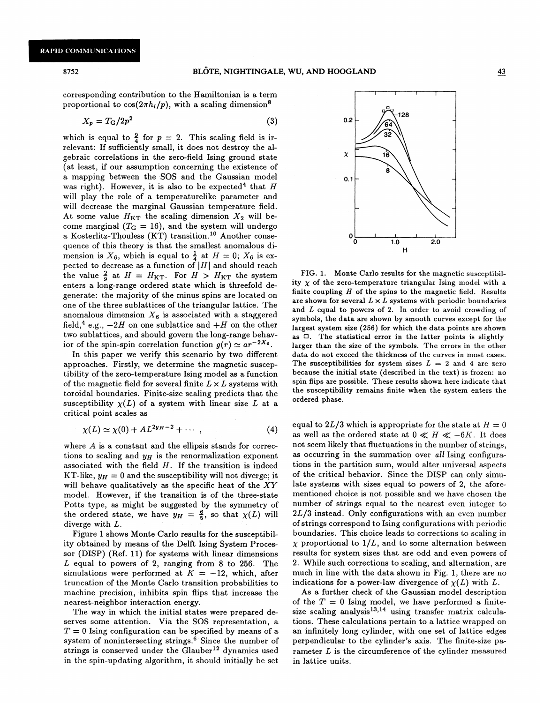corresponding contribution to the Hamiltonian is a term proportional to  $cos(2\pi h_i/p)$ , with a scaling dimension<sup>8</sup>

$$
X_p = T_G/2p^2 \tag{3}
$$

which is equal to  $\frac{9}{4}$  for  $p = 2$ . This scaling field is irrelevant: If sufficiently small, it does not destroy the algebraic correlations in the zero-field Ising ground state (at least, if our assumption concerning the existence of a mapping between the SOS and the Gaussian model was right). However, it is also to be expected<sup>4</sup> that H will play the role of a temperaturelike parameter and will decrease the marginal Gaussian temperature field. At some value  $H_{\text{KT}}$  the scaling dimension  $X_2$  will become marginal ( $T<sub>G</sub> = 16$ ), and the system will undergo a Kosterlitz-Thouless (KT) transition. io Another consequence of this theory is that the smallest anomalous dimension is  $X_6$ , which is equal to  $\frac{1}{4}$  at  $H = 0$ ;  $X_6$  is expected to decrease as a function of  $|H|$  and should reach the value  $\frac{2}{9}$  at  $H = H_{\text{KT}}$ . For  $H > H_{\text{KT}}$  the system enters a long-range ordered state which is threefold degenerate: the majority of the minus spins are located on one of the three sublattices of the triangular lattice. The anomalous dimension  $X_6$  is associated with a staggered field,<sup>4</sup> e.g.,  $-2H$  on one sublattice and  $+H$  on the other two sublattices, and should govern the long-range behavior of the spin-spin correlation function  $g(r) \simeq a r^{-2X_6}$ .

In this paper we verify this scenario by two different approaches. Firstly, we determine the magnetic susceptibility of the zero-temperature Ising model as a function of the magnetic field for several finite  $L \times L$  systems with toroidal boundaries. Finite-size scaling predicts that the susceptibility  $\chi(L)$  of a system with linear size L at a critical point scales as

$$
\chi(L) \simeq \chi(0) + AL^{2y_H - 2} + \cdots, \qquad (4)
$$

where  $A$  is a constant and the ellipsis stands for corrections to scaling and  $y_H$  is the renormalization exponent associated with the field  $H$ . If the transition is indeed KT-like,  $y_H = 0$  and the susceptibility will not diverge; it will behave qualitatively as the specific heat of the  $XY$ model. However, if the transition is of the three-state Potts type, as might be suggested by the symmetry of the ordered state, we have  $y_H = \frac{6}{5}$ , so that  $\chi(L)$  will diverge with L.

Figure 1 shows Monte Carlo results for the susceptibility obtained by means of the Delft Ising System Processor (DISP) (Ref. 11) for systems with linear dimensions L equal to powers of 2, ranging from 8 to 256. The simulations were performed at  $K = -12$ , which, after truncation of the Monte Carlo transition probabilities to machine precision, inhibits spin fiips that increase the nearest-neighbor interaction energy.

The way in which the initial states were prepared deserves some attention. Via the SOS representation, a  $T = 0$  Ising configuration can be specified by means of a system of nonintersecting strings. $6$  Since the number of strings is conserved under the Glauber<sup>12</sup> dynamics used in the spin-updating algorithm, it should initially be set



FIG. 1. Monte Carlo results for the magnetic susceptibility  $\chi$  of the zero-temperature triangular Ising model with a finite coupling  $H$  of the spins to the magnetic field. Results are shown for several  $L \times L$  systems with periodic boundaries and  $L$  equal to powers of 2. In order to avoid crowding of symbols, the data are shown by smooth curves except for the largest system size (256) for which the data points are shown as  $\Box$ . The statistical error in the latter points is slightly larger than the size of the symbols. The errors in the other data do not exceed the thickness of the curves in most cases. The susceptibilities for system sizes  $L = 2$  and 4 are zero because the initial state (described in the text) is frozen: no spin flips are possible. These results shown here indicate that the susceptibility remains finite when the system enters the ordered phase.

equal to  $2L/3$  which is appropriate for the state at  $H = 0$ as well as the ordered state at  $0 \ll H \ll -6K$ . It does not seem likely that fluctuations in the number of strings, as occurring in the summation over all Ising configurations in the partition sum, would alter universal aspects of the critical behavior. Since the DISP can only simulate systems with sizes equal to powers of 2, the aforementioned choice is not possible and we have chosen the number of strings equal to the nearest even integer to  $2L/3$  instead. Only configurations with an even number ofstrings correspond to Ising configurations with periodic boundaries. This choice leads to corrections to scaling in  $\chi$  proportional to  $1/L$ , and to some alternation between results for system sizes that are odd and even powers of 2. While such corrections to scaling, and alternation, are much in line with the data shown in Fig. 1, there are no indications for a power-law divergence of  $\chi(L)$  with L.

As a further check of the Gaussian model description of the  $T = 0$  Ising model, we have performed a finitesize scaling analysis<sup>13,14</sup> using transfer matrix calculations. These calculations pertain to a lattice wrapped on an infinitely long cylinder, with one set of lattice edges perpendicular to the cylinder's axis. The finite-size parameter L is the circumference of the cylinder measured in lattice units.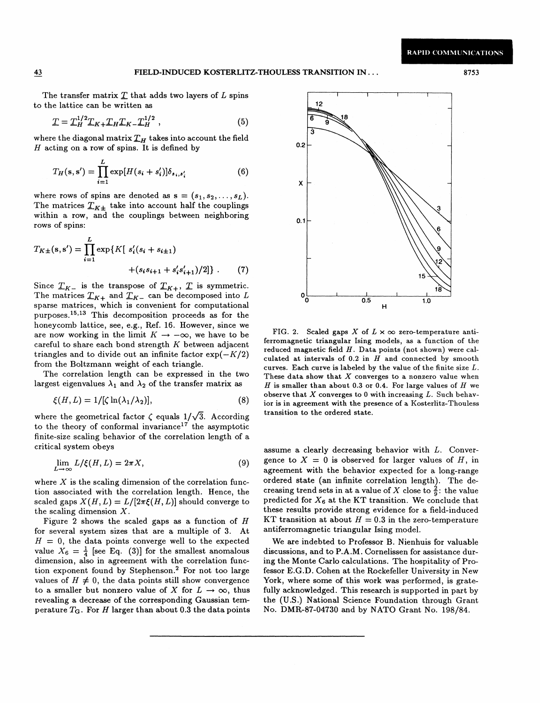The transfer matrix  $T$  that adds two layers of  $L$  spins to the lattice can be written as

$$
T = T_H^{1/2} T_{K+} T_H T_{K-} T_H^{1/2} , \qquad (5)
$$

where the diagonal matrix  $T_H$  takes into account the field  $H$  acting on a row of spins. It is defined by 0.2

$$
T_H(\mathbf{s}, \mathbf{s}') = \prod_{i=1}^L \exp[H(s_i + s'_i)] \delta_{s_i, s'_i} \tag{6}
$$

where rows of spins are denoted as  $s = (s_1, s_2, \ldots, s_L)$ . The matrices  $T_{K\pm}$  take into account half the couplings within a row, and the couplings between neighboring rows of spins:

$$
T_{K\pm}(\mathbf{s}, \mathbf{s}') = \prod_{i=1}^{L} \exp\{K[s'_i(s_i + s_{i\pm 1}) + (s_i s_{i+1} + s'_i s'_{i+1})/2]\}.
$$
 (7)

Since  $T_{K-}$  is the transpose of  $T_{K+}$ ,  $T$  is symmetric. The matrices  $T_{K+}$  and  $T_{K-}$  can be decomposed into L sparse matrices, which is convenient for computational purposes.<sup>15,13</sup> This decomposition proceeds as for the honeycomb lattice, see, e.g., Ref. 16. However, since we are now working in the limit  $K \rightarrow -\infty$ , we have to be careful to share each bond strength  $K$  between adjacent triangles and to divide out an infinite factor  $\exp(-K/2)$ from the Boltzmann weight of each triangle.

The correlation length can be expressed in the two largest eigenvalues  $\lambda_1$  and  $\lambda_2$  of the transfer matrix as

$$
\xi(H, L) = 1/[\zeta \ln(\lambda_1/\lambda_2)],\tag{8}
$$

where the geometrical factor  $\zeta$  equals  $1/\sqrt{3}$ . According to the theory of conformal invariance<sup>17</sup> the asymptotic finite-size scaling behavior of the correlation length of a critical system obeys

$$
\lim_{L \to \infty} L/\xi(H, L) = 2\pi X,\tag{9}
$$

where  $X$  is the scaling dimension of the correlation function associated with the correlation length. Hence, the scaled gaps  $X(H, L) = L/[2\pi \xi(H, L)]$  should converge to the scaling dimension  $X$ .

Figure 2 shows the scaled gaps as a function of  $H$ for several system sizes that are a multiple of 3. At  $H = 0$ , the data points converge well to the expected value  $X_6 = \frac{1}{4}$  [see Eq. (3)] for the smallest anomalou dimension, also in agreement with the correlation function exponent found by Stephenson.<sup>2</sup> For not too large values of  $H \neq 0$ , the data points still show convergence to a smaller but nonzero value of X for  $L \to \infty$ , thus revealing a decrease of the corresponding Gaussian temperature  $T_G$ . For H larger than about 0.3 the data points



FIG. 2. Scaled gaps X of  $L \times \infty$  zero-temperature antiferromagnetic triangular Ising models, as a function of the reduced magnetic field  $H$ . Data points (not shown) were calculated at intervals of  $0.2$  in  $H$  and connected by smooth curves. Each curve is labeled by the value of the finite size  $L$ . These data show that  $X$  converges to a nonzero value when  $H$  is smaller than about 0.3 or 0.4. For large values of  $H$  we observe that  $X$  converges to 0 with increasing  $L$ . Such behavior is in agreement with the presence of a Kosterlitz-Thouless transition to the ordered state.

assume a clearly decreasing behavior with  $L$ . Convergence to  $X = 0$  is observed for larger values of H, in agreement with the behavior expected for a long-range ordered state (an infinite correlation length). The decreasing trend sets in at a value of X close to  $\frac{2}{9}$ : the value predicted for  $X_6$  at the KT transition. We conclude that these results provide strong evidence for a field-induced KT transition at about  $H = 0.3$  in the zero-temperature antiferromagnetic triangular Ising model.

We are indebted to Professor B. Nienhuis for valuable discussions, and to P.A.M. Cornelissen for assistance during the Monte Carlo calculations. The hospitality of Professor E.G.D. Cohen at the Rockefeller University in New York, where some of this work was performed, is gratefully acknowledged. This research is supported in part by the (U.S.) National Science Foundation through Grant No. DMR-87-04730 and by NATO Grant No. 198/84.